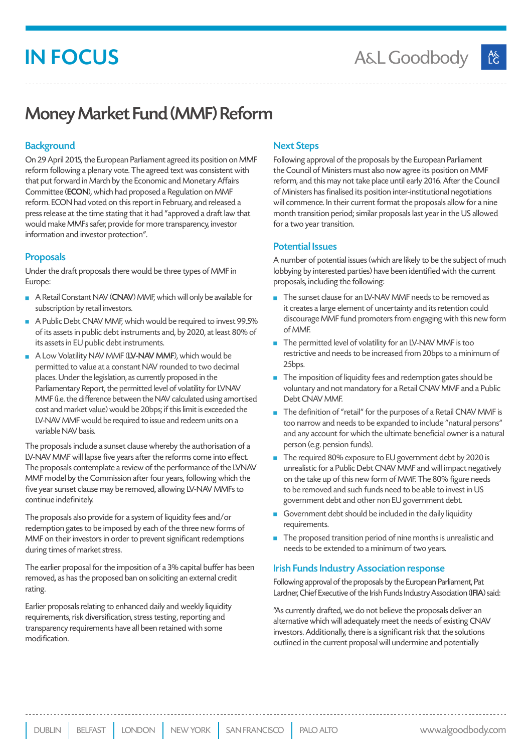# IN FOCUS

## Money Market Fund (MMF) Reform

### **Background**

On 29 April 2015, the European Parliament agreed its position on MMF reform following a plenary vote. The agreed text was consistent with that put forward in March by the Economic and Monetary Affairs Committee (ECON), which had proposed a Regulation on MMF reform. ECON had voted on this report in February, and released a press release at the time stating that it had "approved a draft law that would make MMFs safer, provide for more transparency, investor information and investor protection".

### Proposals

Under the draft proposals there would be three types of MMF in Europe:

- A Retail Constant NAV (CNAV) MMF, which will only be available for subscription by retail investors.
- A Public Debt CNAV MMF, which would be required to invest 99.5% of its assets in public debt instruments and, by 2020, at least 80% of its assets in EU public debt instruments.
- A Low Volatility NAV MMF (LV-NAV MMF), which would be permitted to value at a constant NAV rounded to two decimal places. Under the legislation, as currently proposed in the Parliamentary Report, the permitted level of volatility for LVNAV MMF (i.e. the difference between the NAV calculated using amortised cost and market value) would be 20bps; if this limit is exceeded the LV-NAV MMF would be required to issue and redeem units on a variable NAV basis.

The proposals include a sunset clause whereby the authorisation of a LV-NAV MMF will lapse five years after the reforms come into effect. The proposals contemplate a review of the performance of the LVNAV MMF model by the Commission after four years, following which the five year sunset clause may be removed, allowing LV-NAV MMFs to continue indefinitely.

The proposals also provide for a system of liquidity fees and/or redemption gates to be imposed by each of the three new forms of MMF on their investors in order to prevent significant redemptions during times of market stress.

The earlier proposal for the imposition of a 3% capital buffer has been removed, as has the proposed ban on soliciting an external credit rating.

Earlier proposals relating to enhanced daily and weekly liquidity requirements, risk diversification, stress testing, reporting and transparency requirements have all been retained with some modification.

### Next Steps

Following approval of the proposals by the European Parliament the Council of Ministers must also now agree its position on MMF reform, and this may not take place until early 2016. After the Council of Ministers has finalised its position inter-institutional negotiations will commence. In their current format the proposals allow for a nine month transition period; similar proposals last year in the US allowed for a two year transition.

### Potential Issues

A number of potential issues (which are likely to be the subject of much lobbying by interested parties) have been identified with the current proposals, including the following:

- The sunset clause for an LV-NAV MMF needs to be removed as it creates a large element of uncertainty and its retention could discourage MMF fund promoters from engaging with this new form of MMF.
- $\blacksquare$  The permitted level of volatility for an LV-NAV MMF is too restrictive and needs to be increased from 20bps to a minimum of 25bps.
- $\blacksquare$  The imposition of liquidity fees and redemption gates should be voluntary and not mandatory for a Retail CNAV MMF and a Public Debt CNAV MMF.
- The definition of "retail" for the purposes of a Retail CNAV MMF is too narrow and needs to be expanded to include "natural persons" and any account for which the ultimate beneficial owner is a natural person (e.g. pension funds).
- The required 80% exposure to EU government debt by 2020 is unrealistic for a Public Debt CNAV MMF and will impact negatively on the take up of this new form of MMF. The 80% figure needs to be removed and such funds need to be able to invest in US government debt and other non EU government debt.
- Government debt should be included in the daily liquidity requirements.
- $\blacksquare$  The proposed transition period of nine months is unrealistic and needs to be extended to a minimum of two years.

#### Irish Funds Industry Association response

Following approval of the proposals by the European Parliament, Pat Lardner, Chief Executive of the Irish Funds Industry Association (IFIA) said:

"As currently drafted, we do not believe the proposals deliver an alternative which will adequately meet the needs of existing CNAV investors. Additionally, there is a significant risk that the solutions outlined in the current proposal will undermine and potentially